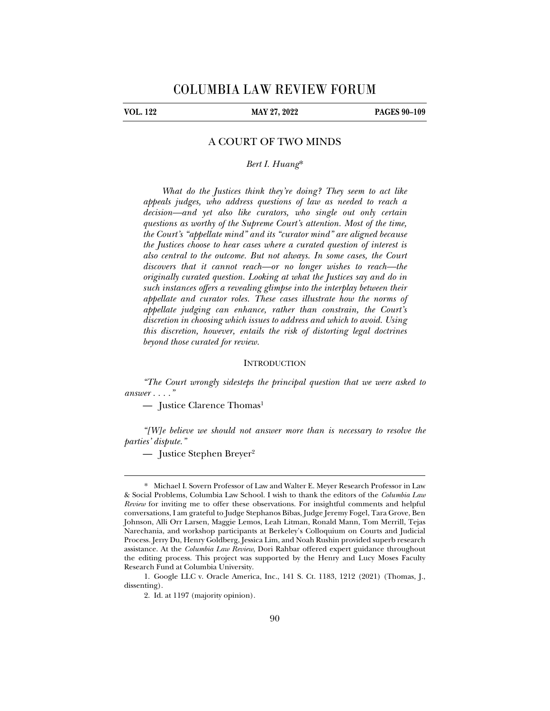## **VOL. 122 MAY 27, 2022 PAGES 90–109**

## A COURT OF TWO MINDS

*Bert I. Huang*\*

*What do the Justices think they're doing? They seem to act like appeals judges, who address questions of law as needed to reach a decision—and yet also like curators, who single out only certain questions as worthy of the Supreme Court's attention. Most of the time, the Court's "appellate mind" and its "curator mind" are aligned because the Justices choose to hear cases where a curated question of interest is also central to the outcome. But not always. In some cases, the Court discovers that it cannot reach—or no longer wishes to reach—the originally curated question. Looking at what the Justices say and do in such instances offers a revealing glimpse into the interplay between their appellate and curator roles. These cases illustrate how the norms of appellate judging can enhance, rather than constrain, the Court's discretion in choosing which issues to address and which to avoid. Using this discretion, however, entails the risk of distorting legal doctrines beyond those curated for review.* 

#### **INTRODUCTION**

*"The Court wrongly sidesteps the principal question that we were asked to answer . . . ."* 

— Justice Clarence Thomas<sup>1</sup>

*"[W]e believe we should not answer more than is necessary to resolve the parties' dispute."* 

— Justice Stephen Breyer2

<sup>\*.</sup> Michael I. Sovern Professor of Law and Walter E. Meyer Research Professor in Law & Social Problems, Columbia Law School. I wish to thank the editors of the *Columbia Law Review* for inviting me to offer these observations. For insightful comments and helpful conversations, I am grateful to Judge Stephanos Bibas, Judge Jeremy Fogel, Tara Grove, Ben Johnson, Alli Orr Larsen, Maggie Lemos, Leah Litman, Ronald Mann, Tom Merrill, Tejas Narechania, and workshop participants at Berkeley's Colloquium on Courts and Judicial Process. Jerry Du, Henry Goldberg, Jessica Lim, and Noah Rushin provided superb research assistance. At the *Columbia Law Review*, Dori Rahbar offered expert guidance throughout the editing process. This project was supported by the Henry and Lucy Moses Faculty Research Fund at Columbia University.

 <sup>1.</sup> Google LLC v. Oracle America, Inc., 141 S. Ct. 1183, 1212 (2021) (Thomas, J., dissenting).

 <sup>2.</sup> Id. at 1197 (majority opinion).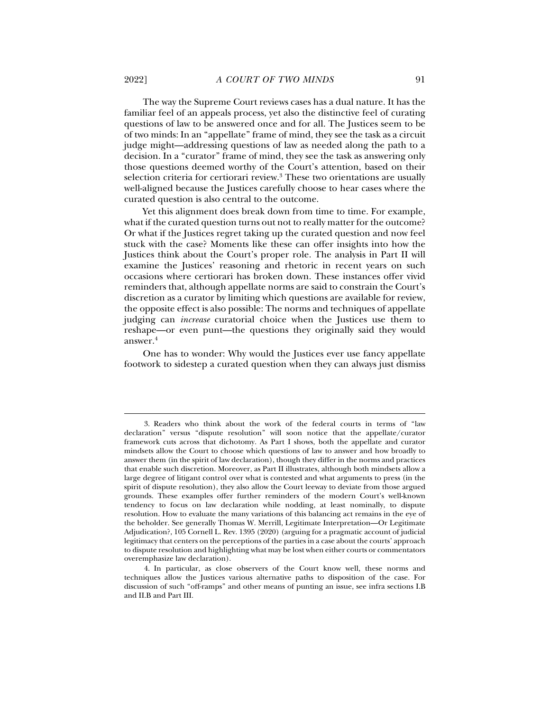The way the Supreme Court reviews cases has a dual nature. It has the familiar feel of an appeals process, yet also the distinctive feel of curating questions of law to be answered once and for all. The Justices seem to be of two minds: In an "appellate" frame of mind, they see the task as a circuit judge might—addressing questions of law as needed along the path to a decision. In a "curator" frame of mind, they see the task as answering only those questions deemed worthy of the Court's attention, based on their selection criteria for certiorari review.<sup>3</sup> These two orientations are usually well-aligned because the Justices carefully choose to hear cases where the curated question is also central to the outcome.

Yet this alignment does break down from time to time. For example, what if the curated question turns out not to really matter for the outcome? Or what if the Justices regret taking up the curated question and now feel stuck with the case? Moments like these can offer insights into how the Justices think about the Court's proper role. The analysis in Part II will examine the Justices' reasoning and rhetoric in recent years on such occasions where certiorari has broken down. These instances offer vivid reminders that, although appellate norms are said to constrain the Court's discretion as a curator by limiting which questions are available for review, the opposite effect is also possible: The norms and techniques of appellate judging can *increase* curatorial choice when the Justices use them to reshape—or even punt—the questions they originally said they would answer.4

One has to wonder: Why would the Justices ever use fancy appellate footwork to sidestep a curated question when they can always just dismiss

 <sup>3.</sup> Readers who think about the work of the federal courts in terms of "law declaration" versus "dispute resolution" will soon notice that the appellate/curator framework cuts across that dichotomy. As Part I shows, both the appellate and curator mindsets allow the Court to choose which questions of law to answer and how broadly to answer them (in the spirit of law declaration), though they differ in the norms and practices that enable such discretion. Moreover, as Part II illustrates, although both mindsets allow a large degree of litigant control over what is contested and what arguments to press (in the spirit of dispute resolution), they also allow the Court leeway to deviate from those argued grounds. These examples offer further reminders of the modern Court's well-known tendency to focus on law declaration while nodding, at least nominally, to dispute resolution. How to evaluate the many variations of this balancing act remains in the eye of the beholder. See generally Thomas W. Merrill, Legitimate Interpretation—Or Legitimate Adjudication?, 105 Cornell L. Rev. 1395 (2020) (arguing for a pragmatic account of judicial legitimacy that centers on the perceptions of the parties in a case about the courts' approach to dispute resolution and highlighting what may be lost when either courts or commentators overemphasize law declaration).

 <sup>4.</sup> In particular, as close observers of the Court know well, these norms and techniques allow the Justices various alternative paths to disposition of the case. For discussion of such "off-ramps" and other means of punting an issue, see infra sections I.B and II.B and Part III.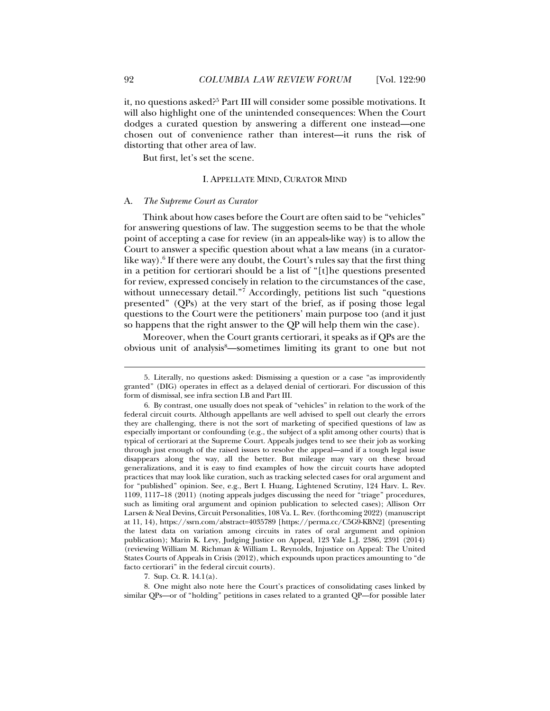it, no questions asked?<sup>5</sup> Part III will consider some possible motivations. It will also highlight one of the unintended consequences: When the Court dodges a curated question by answering a different one instead—one chosen out of convenience rather than interest—it runs the risk of distorting that other area of law.

But first, let's set the scene.

#### I. APPELLATE MIND, CURATOR MIND

#### A. *The Supreme Court as Curator*

Think about how cases before the Court are often said to be "vehicles" for answering questions of law. The suggestion seems to be that the whole point of accepting a case for review (in an appeals-like way) is to allow the Court to answer a specific question about what a law means (in a curatorlike way). $6$  If there were any doubt, the Court's rules say that the first thing in a petition for certiorari should be a list of "[t]he questions presented for review, expressed concisely in relation to the circumstances of the case, without unnecessary detail."<sup>7</sup> Accordingly, petitions list such "questions presented" (QPs) at the very start of the brief, as if posing those legal questions to the Court were the petitioners' main purpose too (and it just so happens that the right answer to the QP will help them win the case).

Moreover, when the Court grants certiorari, it speaks as if QPs are the obvious unit of analysis<sup>8</sup>—sometimes limiting its grant to one but not

7. Sup. Ct. R. 14.1(a).

 8. One might also note here the Court's practices of consolidating cases linked by similar QPs—or of "holding" petitions in cases related to a granted QP—for possible later

 <sup>5.</sup> Literally, no questions asked: Dismissing a question or a case "as improvidently granted" (DIG) operates in effect as a delayed denial of certiorari. For discussion of this form of dismissal, see infra section I.B and Part III.

 <sup>6.</sup> By contrast, one usually does not speak of "vehicles" in relation to the work of the federal circuit courts. Although appellants are well advised to spell out clearly the errors they are challenging, there is not the sort of marketing of specified questions of law as especially important or confounding (e.g., the subject of a split among other courts) that is typical of certiorari at the Supreme Court. Appeals judges tend to see their job as working through just enough of the raised issues to resolve the appeal—and if a tough legal issue disappears along the way, all the better. But mileage may vary on these broad generalizations, and it is easy to find examples of how the circuit courts have adopted practices that may look like curation, such as tracking selected cases for oral argument and for "published" opinion. See, e.g., Bert I. Huang, Lightened Scrutiny, 124 Harv. L. Rev. 1109, 1117–18 (2011) (noting appeals judges discussing the need for "triage" procedures, such as limiting oral argument and opinion publication to selected cases); Allison Orr Larsen & Neal Devins, Circuit Personalities, 108 Va. L. Rev. (forthcoming 2022) (manuscript at 11, 14), https://ssrn.com/abstract=4035789 [https://perma.cc/C5G9-KBN2] (presenting the latest data on variation among circuits in rates of oral argument and opinion publication); Marin K. Levy, Judging Justice on Appeal, 123 Yale L.J. 2386, 2391 (2014) (reviewing William M. Richman & William L. Reynolds, Injustice on Appeal: The United States Courts of Appeals in Crisis (2012), which expounds upon practices amounting to "de facto certiorari" in the federal circuit courts).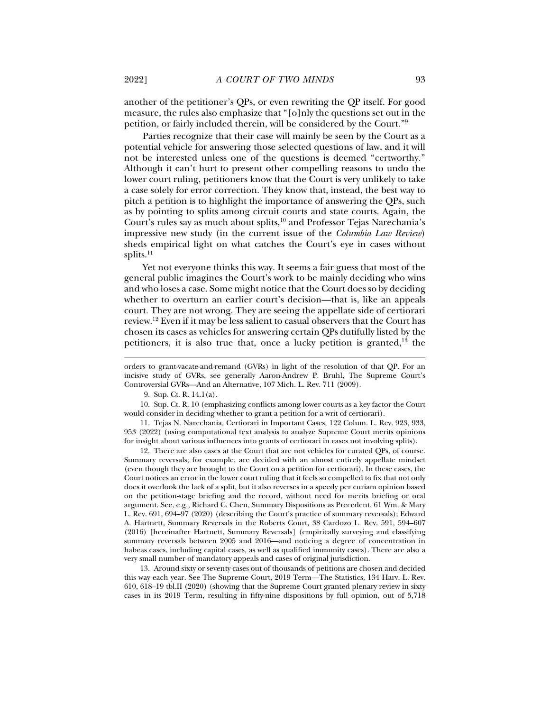another of the petitioner's QPs, or even rewriting the QP itself. For good measure, the rules also emphasize that "[o]nly the questions set out in the petition, or fairly included therein, will be considered by the Court."9

Parties recognize that their case will mainly be seen by the Court as a potential vehicle for answering those selected questions of law, and it will not be interested unless one of the questions is deemed "certworthy." Although it can't hurt to present other compelling reasons to undo the lower court ruling, petitioners know that the Court is very unlikely to take a case solely for error correction. They know that, instead, the best way to pitch a petition is to highlight the importance of answering the QPs, such as by pointing to splits among circuit courts and state courts. Again, the Court's rules say as much about splits,<sup>10</sup> and Professor Tejas Narechania's impressive new study (in the current issue of the *Columbia Law Review*) sheds empirical light on what catches the Court's eye in cases without splits. $^{11}$ 

Yet not everyone thinks this way. It seems a fair guess that most of the general public imagines the Court's work to be mainly deciding who wins and who loses a case. Some might notice that the Court does so by deciding whether to overturn an earlier court's decision—that is, like an appeals court. They are not wrong. They are seeing the appellate side of certiorari review.12 Even if it may be less salient to casual observers that the Court has chosen its cases as vehicles for answering certain QPs dutifully listed by the petitioners, it is also true that, once a lucky petition is granted, $13$  the

j

 10. Sup. Ct. R. 10 (emphasizing conflicts among lower courts as a key factor the Court would consider in deciding whether to grant a petition for a writ of certiorari).

 11. Tejas N. Narechania, Certiorari in Important Cases, 122 Colum. L. Rev. 923, 933, 953 (2022) (using computational text analysis to analyze Supreme Court merits opinions for insight about various influences into grants of certiorari in cases not involving splits).

 12. There are also cases at the Court that are not vehicles for curated QPs, of course. Summary reversals, for example, are decided with an almost entirely appellate mindset (even though they are brought to the Court on a petition for certiorari). In these cases, the Court notices an error in the lower court ruling that it feels so compelled to fix that not only does it overlook the lack of a split, but it also reverses in a speedy per curiam opinion based on the petition-stage briefing and the record, without need for merits briefing or oral argument. See, e.g., Richard C. Chen, Summary Dispositions as Precedent, 61 Wm. & Mary L. Rev. 691, 694–97 (2020) (describing the Court's practice of summary reversals); Edward A. Hartnett, Summary Reversals in the Roberts Court, 38 Cardozo L. Rev. 591, 594–607 (2016) [hereinafter Hartnett, Summary Reversals] (empirically surveying and classifying summary reversals between 2005 and 2016—and noticing a degree of concentration in habeas cases, including capital cases, as well as qualified immunity cases). There are also a very small number of mandatory appeals and cases of original jurisdiction.

 13. Around sixty or seventy cases out of thousands of petitions are chosen and decided this way each year. See The Supreme Court, 2019 Term—The Statistics, 134 Harv. L. Rev. 610, 618–19 tbl.II (2020) (showing that the Supreme Court granted plenary review in sixty cases in its 2019 Term, resulting in fifty-nine dispositions by full opinion, out of 5,718

orders to grant-vacate-and-remand (GVRs) in light of the resolution of that QP. For an incisive study of GVRs, see generally Aaron-Andrew P. Bruhl, The Supreme Court's Controversial GVRs—And an Alternative, 107 Mich. L. Rev. 711 (2009).

 <sup>9.</sup> Sup. Ct. R. 14.1(a).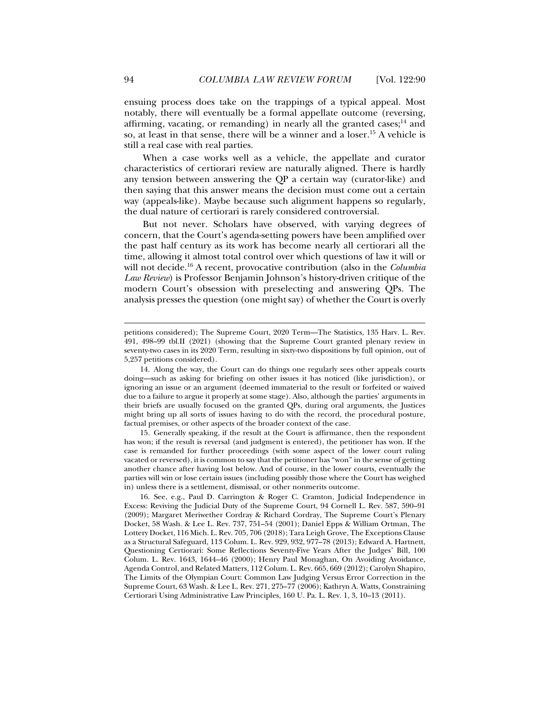ensuing process does take on the trappings of a typical appeal. Most notably, there will eventually be a formal appellate outcome (reversing, affirming, vacating, or remanding) in nearly all the granted cases;<sup>14</sup> and so, at least in that sense, there will be a winner and a loser.<sup>15</sup> A vehicle is still a real case with real parties.

When a case works well as a vehicle, the appellate and curator characteristics of certiorari review are naturally aligned. There is hardly any tension between answering the QP a certain way (curator-like) and then saying that this answer means the decision must come out a certain way (appeals-like). Maybe because such alignment happens so regularly, the dual nature of certiorari is rarely considered controversial.

But not never. Scholars have observed, with varying degrees of concern, that the Court's agenda-setting powers have been amplified over the past half century as its work has become nearly all certiorari all the time, allowing it almost total control over which questions of law it will or will not decide.16 A recent, provocative contribution (also in the *Columbia Law Review*) is Professor Benjamin Johnson's history-driven critique of the modern Court's obsession with preselecting and answering QPs. The analysis presses the question (one might say) of whether the Court is overly

 15. Generally speaking, if the result at the Court is affirmance, then the respondent has won; if the result is reversal (and judgment is entered), the petitioner has won. If the case is remanded for further proceedings (with some aspect of the lower court ruling vacated or reversed), it is common to say that the petitioner has "won" in the sense of getting another chance after having lost below. And of course, in the lower courts, eventually the parties will win or lose certain issues (including possibly those where the Court has weighed in) unless there is a settlement, dismissal, or other nonmerits outcome.

petitions considered); The Supreme Court, 2020 Term—The Statistics, 135 Harv. L. Rev. 491, 498–99 tbl.II (2021) (showing that the Supreme Court granted plenary review in seventy-two cases in its 2020 Term, resulting in sixty-two dispositions by full opinion, out of 5,257 petitions considered).

 <sup>14.</sup> Along the way, the Court can do things one regularly sees other appeals courts doing—such as asking for briefing on other issues it has noticed (like jurisdiction), or ignoring an issue or an argument (deemed immaterial to the result or forfeited or waived due to a failure to argue it properly at some stage). Also, although the parties' arguments in their briefs are usually focused on the granted QPs, during oral arguments, the Justices might bring up all sorts of issues having to do with the record, the procedural posture, factual premises, or other aspects of the broader context of the case.

 <sup>16.</sup> See, e.g., Paul D. Carrington & Roger C. Cramton, Judicial Independence in Excess: Reviving the Judicial Duty of the Supreme Court, 94 Cornell L. Rev. 587, 590–91 (2009); Margaret Meriwether Cordray & Richard Cordray, The Supreme Court's Plenary Docket, 58 Wash. & Lee L. Rev. 737, 751–54 (2001); Daniel Epps & William Ortman, The Lottery Docket, 116 Mich. L. Rev. 705, 706 (2018); Tara Leigh Grove, The Exceptions Clause as a Structural Safeguard, 113 Colum. L. Rev. 929, 932, 977–78 (2013); Edward A. Hartnett, Questioning Certiorari: Some Reflections Seventy-Five Years After the Judges' Bill, 100 Colum. L. Rev. 1643, 1644–46 (2000); Henry Paul Monaghan, On Avoiding Avoidance, Agenda Control, and Related Matters, 112 Colum. L. Rev. 665, 669 (2012); Carolyn Shapiro, The Limits of the Olympian Court: Common Law Judging Versus Error Correction in the Supreme Court, 63 Wash. & Lee L. Rev. 271, 275–77 (2006); Kathryn A. Watts, Constraining Certiorari Using Administrative Law Principles, 160 U. Pa. L. Rev. 1, 3, 10–13 (2011).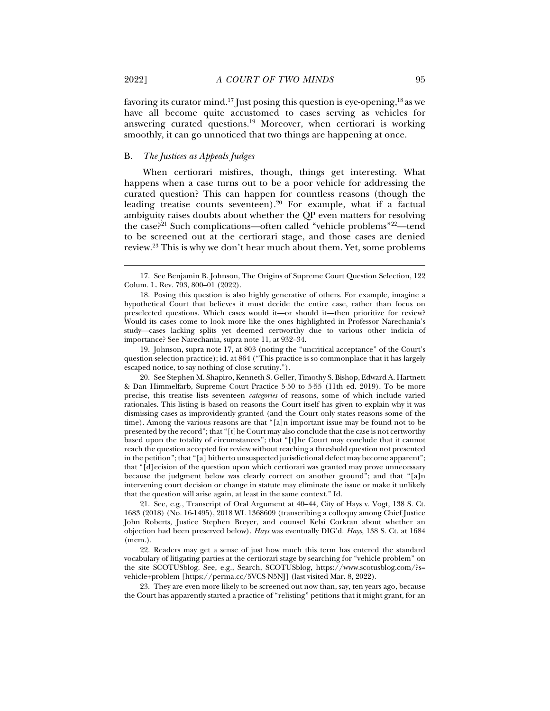favoring its curator mind.17 Just posing this question is eye-opening,18 as we have all become quite accustomed to cases serving as vehicles for answering curated questions.19 Moreover, when certiorari is working smoothly, it can go unnoticed that two things are happening at once.

#### B. *The Justices as Appeals Judges*

When certiorari misfires, though, things get interesting. What happens when a case turns out to be a poor vehicle for addressing the curated question? This can happen for countless reasons (though the leading treatise counts seventeen).<sup>20</sup> For example, what if a factual ambiguity raises doubts about whether the QP even matters for resolving the case?21 Such complications—often called "vehicle problems"22—tend to be screened out at the certiorari stage, and those cases are denied review.23 This is why we don't hear much about them. Yet, some problems

 19. Johnson, supra note 17, at 803 (noting the "uncritical acceptance" of the Court's question-selection practice); id. at 864 ("This practice is so commonplace that it has largely escaped notice, to say nothing of close scrutiny.").

 20. See Stephen M. Shapiro, Kenneth S. Geller, Timothy S. Bishop, Edward A. Hartnett & Dan Himmelfarb, Supreme Court Practice 5-50 to 5-55 (11th ed. 2019). To be more precise, this treatise lists seventeen *categories* of reasons, some of which include varied rationales. This listing is based on reasons the Court itself has given to explain why it was dismissing cases as improvidently granted (and the Court only states reasons some of the time). Among the various reasons are that "[a]n important issue may be found not to be presented by the record"; that "[t]he Court may also conclude that the case is not certworthy based upon the totality of circumstances"; that "[t]he Court may conclude that it cannot reach the question accepted for review without reaching a threshold question not presented in the petition"; that "[a] hitherto unsuspected jurisdictional defect may become apparent"; that "[d]ecision of the question upon which certiorari was granted may prove unnecessary because the judgment below was clearly correct on another ground"; and that "[a]n intervening court decision or change in statute may eliminate the issue or make it unlikely that the question will arise again, at least in the same context." Id.

 21. See, e.g., Transcript of Oral Argument at 40–44, City of Hays v. Vogt, 138 S. Ct. 1683 (2018) (No. 16-1495), 2018 WL 1368609 (transcribing a colloquy among Chief Justice John Roberts, Justice Stephen Breyer, and counsel Kelsi Corkran about whether an objection had been preserved below). *Hays* was eventually DIG'd. *Hays*, 138 S. Ct. at 1684 (mem.).

 22. Readers may get a sense of just how much this term has entered the standard vocabulary of litigating parties at the certiorari stage by searching for "vehicle problem" on the site SCOTUSblog. See, e.g., Search, SCOTUSblog, https://www.scotusblog.com/?s= vehicle+problem [https://perma.cc/5VCS-N5NJ] (last visited Mar. 8, 2022).

 23. They are even more likely to be screened out now than, say, ten years ago, because the Court has apparently started a practice of "relisting" petitions that it might grant, for an

 <sup>17.</sup> See Benjamin B. Johnson, The Origins of Supreme Court Question Selection, 122 Colum. L. Rev. 793, 800–01 (2022).

 <sup>18.</sup> Posing this question is also highly generative of others. For example, imagine a hypothetical Court that believes it must decide the entire case, rather than focus on preselected questions. Which cases would it—or should it—then prioritize for review? Would its cases come to look more like the ones highlighted in Professor Narechania's study—cases lacking splits yet deemed certworthy due to various other indicia of importance? See Narechania, supra note 11, at 932-34.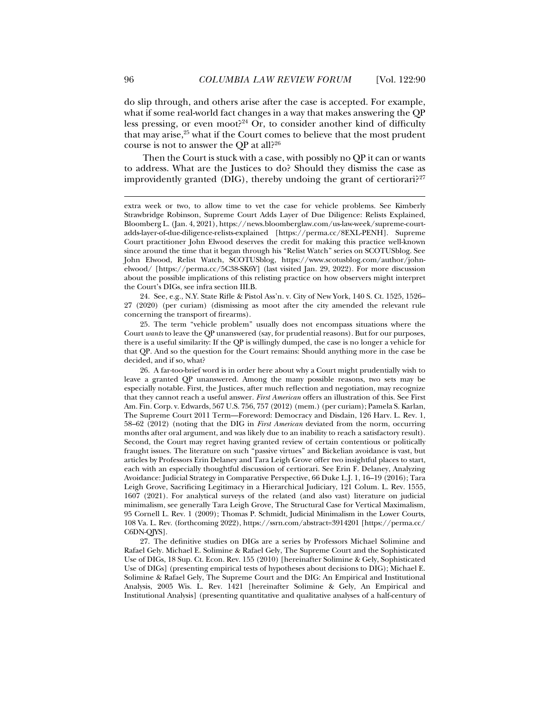do slip through, and others arise after the case is accepted. For example, what if some real-world fact changes in a way that makes answering the QP less pressing, or even moot?<sup>24</sup> Or, to consider another kind of difficulty that may arise,25 what if the Court comes to believe that the most prudent course is not to answer the QP at all?26

Then the Court is stuck with a case, with possibly no QP it can or wants to address. What are the Justices to do? Should they dismiss the case as improvidently granted (DIG), thereby undoing the grant of certiorari?<sup>27</sup>

 24. See, e.g., N.Y. State Rifle & Pistol Ass'n. v. City of New York, 140 S. Ct. 1525, 1526– 27 (2020) (per curiam) (dismissing as moot after the city amended the relevant rule concerning the transport of firearms).

 25. The term "vehicle problem" usually does not encompass situations where the Court *wants* to leave the QP unanswered (say, for prudential reasons). But for our purposes, there is a useful similarity: If the QP is willingly dumped, the case is no longer a vehicle for that QP. And so the question for the Court remains: Should anything more in the case be decided, and if so, what?

 26. A far-too-brief word is in order here about why a Court might prudentially wish to leave a granted QP unanswered. Among the many possible reasons, two sets may be especially notable. First, the Justices, after much reflection and negotiation, may recognize that they cannot reach a useful answer. *First American* offers an illustration of this. See First Am. Fin. Corp. v. Edwards, 567 U.S. 756, 757 (2012) (mem.) (per curiam); Pamela S. Karlan, The Supreme Court 2011 Term—Foreword: Democracy and Disdain, 126 Harv. L. Rev. 1, 58–62 (2012) (noting that the DIG in *First American* deviated from the norm, occurring months after oral argument, and was likely due to an inability to reach a satisfactory result). Second, the Court may regret having granted review of certain contentious or politically fraught issues. The literature on such "passive virtues" and Bickelian avoidance is vast, but articles by Professors Erin Delaney and Tara Leigh Grove offer two insightful places to start, each with an especially thoughtful discussion of certiorari. See Erin F. Delaney, Analyzing Avoidance: Judicial Strategy in Comparative Perspective, 66 Duke L.J. 1, 16–19 (2016); Tara Leigh Grove, Sacrificing Legitimacy in a Hierarchical Judiciary, 121 Colum. L. Rev. 1555, 1607 (2021). For analytical surveys of the related (and also vast) literature on judicial minimalism, see generally Tara Leigh Grove, The Structural Case for Vertical Maximalism, 95 Cornell L. Rev. 1 (2009); Thomas P. Schmidt, Judicial Minimalism in the Lower Courts, 108 Va. L. Rev. (forthcoming 2022), https://ssrn.com/abstract=3914201 [https://perma.cc/ C6DN-QJYS].

 27. The definitive studies on DIGs are a series by Professors Michael Solimine and Rafael Gely. Michael E. Solimine & Rafael Gely, The Supreme Court and the Sophisticated Use of DIGs, 18 Sup. Ct. Econ. Rev. 155 (2010) [hereinafter Solimine & Gely, Sophisticated Use of DIGs] (presenting empirical tests of hypotheses about decisions to DIG); Michael E. Solimine & Rafael Gely, The Supreme Court and the DIG: An Empirical and Institutional Analysis, 2005 Wis. L. Rev. 1421 [hereinafter Solimine & Gely, An Empirical and Institutional Analysis] (presenting quantitative and qualitative analyses of a half-century of

extra week or two, to allow time to vet the case for vehicle problems. See Kimberly Strawbridge Robinson, Supreme Court Adds Layer of Due Diligence: Relists Explained, Bloomberg L. (Jan. 4, 2021), https://news.bloomberglaw.com/us-law-week/supreme-courtadds-layer-of-due-diligence-relists-explained [https://perma.cc/8EXL-PENH]. Supreme Court practitioner John Elwood deserves the credit for making this practice well-known since around the time that it began through his "Relist Watch" series on SCOTUSblog. See John Elwood, Relist Watch, SCOTUSblog, https://www.scotusblog.com/author/johnelwood/ [https://perma.cc/5C38-SK6Y] (last visited Jan. 29, 2022). For more discussion about the possible implications of this relisting practice on how observers might interpret the Court's DIGs, see infra section III.B.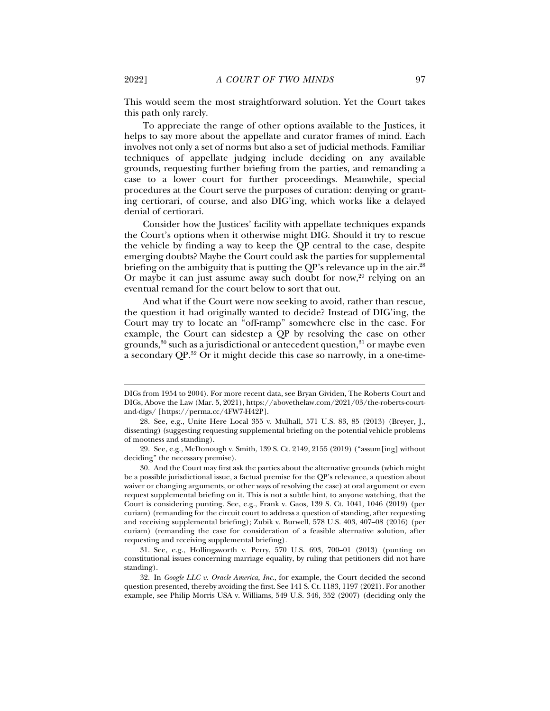This would seem the most straightforward solution. Yet the Court takes this path only rarely.

To appreciate the range of other options available to the Justices, it helps to say more about the appellate and curator frames of mind. Each involves not only a set of norms but also a set of judicial methods. Familiar techniques of appellate judging include deciding on any available grounds, requesting further briefing from the parties, and remanding a case to a lower court for further proceedings. Meanwhile, special procedures at the Court serve the purposes of curation: denying or granting certiorari, of course, and also DIG'ing, which works like a delayed denial of certiorari.

Consider how the Justices' facility with appellate techniques expands the Court's options when it otherwise might DIG. Should it try to rescue the vehicle by finding a way to keep the QP central to the case, despite emerging doubts? Maybe the Court could ask the parties for supplemental briefing on the ambiguity that is putting the QP's relevance up in the air.<sup>28</sup> Or maybe it can just assume away such doubt for now,  $29$  relying on an eventual remand for the court below to sort that out.

And what if the Court were now seeking to avoid, rather than rescue, the question it had originally wanted to decide? Instead of DIG'ing, the Court may try to locate an "off-ramp" somewhere else in the case. For example, the Court can sidestep a QP by resolving the case on other grounds, $30$  such as a jurisdictional or antecedent question, $31$  or maybe even a secondary QP.32 Or it might decide this case so narrowly, in a one-time-

DIGs from 1954 to 2004). For more recent data, see Bryan Gividen, The Roberts Court and DIGs, Above the Law (Mar. 5, 2021), https://abovethelaw.com/2021/03/the-roberts-courtand-digs/ [https://perma.cc/4FW7-H42P].

 <sup>28.</sup> See, e.g., Unite Here Local 355 v. Mulhall, 571 U.S. 83, 85 (2013) (Breyer, J., dissenting) (suggesting requesting supplemental briefing on the potential vehicle problems of mootness and standing).

 <sup>29.</sup> See, e.g., McDonough v. Smith, 139 S. Ct. 2149, 2155 (2019) ("assum[ing] without deciding" the necessary premise).

 <sup>30.</sup> And the Court may first ask the parties about the alternative grounds (which might be a possible jurisdictional issue, a factual premise for the QP's relevance, a question about waiver or changing arguments, or other ways of resolving the case) at oral argument or even request supplemental briefing on it. This is not a subtle hint, to anyone watching, that the Court is considering punting. See, e.g., Frank v. Gaos, 139 S. Ct. 1041, 1046 (2019) (per curiam) (remanding for the circuit court to address a question of standing, after requesting and receiving supplemental briefing); Zubik v. Burwell, 578 U.S. 403, 407–08 (2016) (per curiam) (remanding the case for consideration of a feasible alternative solution, after requesting and receiving supplemental briefing).

 <sup>31.</sup> See, e.g., Hollingsworth v. Perry, 570 U.S. 693, 700–01 (2013) (punting on constitutional issues concerning marriage equality, by ruling that petitioners did not have standing).

 <sup>32.</sup> In *Google LLC v. Oracle America, Inc.*, for example, the Court decided the second question presented, thereby avoiding the first. See 141 S. Ct. 1183, 1197 (2021). For another example, see Philip Morris USA v. Williams, 549 U.S. 346, 352 (2007) (deciding only the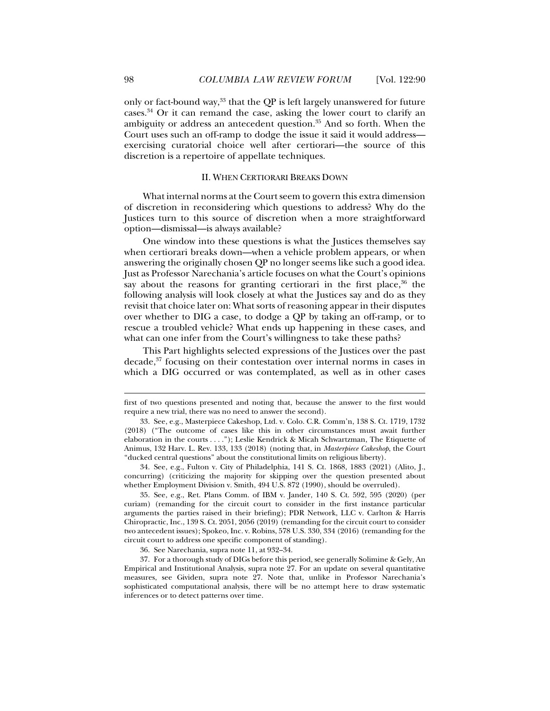only or fact-bound way, $33$  that the QP is left largely unanswered for future cases.34 Or it can remand the case, asking the lower court to clarify an ambiguity or address an antecedent question.35 And so forth. When the Court uses such an off-ramp to dodge the issue it said it would address exercising curatorial choice well after certiorari—the source of this discretion is a repertoire of appellate techniques.

## II. WHEN CERTIORARI BREAKS DOWN

What internal norms at the Court seem to govern this extra dimension of discretion in reconsidering which questions to address? Why do the Justices turn to this source of discretion when a more straightforward option—dismissal—is always available?

One window into these questions is what the Justices themselves say when certiorari breaks down—when a vehicle problem appears, or when answering the originally chosen QP no longer seems like such a good idea. Just as Professor Narechania's article focuses on what the Court's opinions say about the reasons for granting certiorari in the first place, $36$  the following analysis will look closely at what the Justices say and do as they revisit that choice later on: What sorts of reasoning appear in their disputes over whether to DIG a case, to dodge a QP by taking an off-ramp, or to rescue a troubled vehicle? What ends up happening in these cases, and what can one infer from the Court's willingness to take these paths?

This Part highlights selected expressions of the Justices over the past decade,<sup>37</sup> focusing on their contestation over internal norms in cases in which a DIG occurred or was contemplated, as well as in other cases

first of two questions presented and noting that, because the answer to the first would require a new trial, there was no need to answer the second).

 <sup>33.</sup> See, e.g., Masterpiece Cakeshop, Ltd. v. Colo. C.R. Comm'n, 138 S. Ct. 1719, 1732 (2018) ("The outcome of cases like this in other circumstances must await further elaboration in the courts . . . ."); Leslie Kendrick & Micah Schwartzman, The Etiquette of Animus, 132 Harv. L. Rev. 133, 133 (2018) (noting that, in *Masterpiece Cakeshop*, the Court "ducked central questions" about the constitutional limits on religious liberty).

 <sup>34.</sup> See, e.g., Fulton v. City of Philadelphia, 141 S. Ct. 1868, 1883 (2021) (Alito, J., concurring) (criticizing the majority for skipping over the question presented about whether Employment Division v. Smith, 494 U.S. 872 (1990), should be overruled).

 <sup>35.</sup> See, e.g., Ret. Plans Comm. of IBM v. Jander, 140 S. Ct. 592, 595 (2020) (per curiam) (remanding for the circuit court to consider in the first instance particular arguments the parties raised in their briefing); PDR Network, LLC v. Carlton & Harris Chiropractic, Inc., 139 S. Ct. 2051, 2056 (2019) (remanding for the circuit court to consider two antecedent issues); Spokeo, Inc. v. Robins, 578 U.S. 330, 334 (2016) (remanding for the circuit court to address one specific component of standing).

<sup>36.</sup> See Narechania, supra note 11, at 932–34.

 <sup>37.</sup> For a thorough study of DIGs before this period, see generally Solimine & Gely, An Empirical and Institutional Analysis, supra note 27. For an update on several quantitative measures, see Gividen, supra note 27. Note that, unlike in Professor Narechania's sophisticated computational analysis, there will be no attempt here to draw systematic inferences or to detect patterns over time.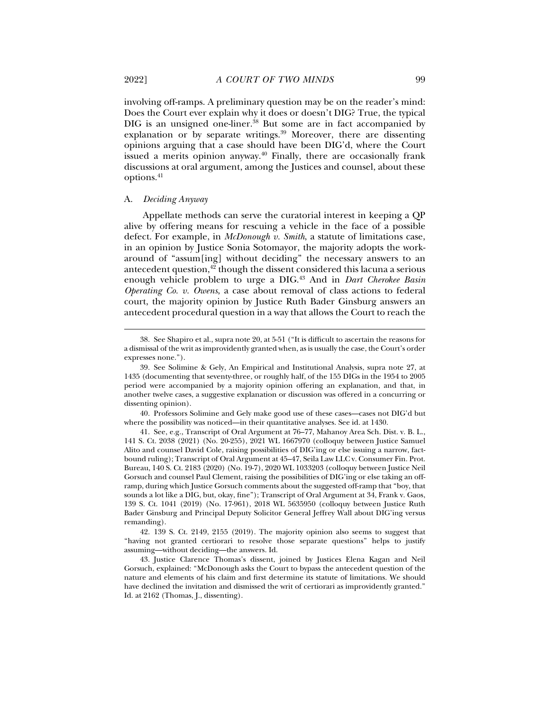involving off-ramps. A preliminary question may be on the reader's mind: Does the Court ever explain why it does or doesn't DIG? True, the typical DIG is an unsigned one-liner.<sup>38</sup> But some are in fact accompanied by explanation or by separate writings. $39$  Moreover, there are dissenting opinions arguing that a case should have been DIG'd, where the Court issued a merits opinion anyway.40 Finally, there are occasionally frank discussions at oral argument, among the Justices and counsel, about these options.41

## A. *Deciding Anyway*

Appellate methods can serve the curatorial interest in keeping a QP alive by offering means for rescuing a vehicle in the face of a possible defect. For example, in *McDonough v. Smith*, a statute of limitations case, in an opinion by Justice Sonia Sotomayor, the majority adopts the workaround of "assum[ing] without deciding" the necessary answers to an antecedent question,<sup>42</sup> though the dissent considered this lacuna a serious enough vehicle problem to urge a DIG.43 And in *Dart Cherokee Basin Operating Co. v. Owens*, a case about removal of class actions to federal court, the majority opinion by Justice Ruth Bader Ginsburg answers an antecedent procedural question in a way that allows the Court to reach the

 40. Professors Solimine and Gely make good use of these cases—cases not DIG'd but where the possibility was noticed—in their quantitative analyses. See id. at 1430.

 <sup>38.</sup> See Shapiro et al., supra note 20, at 5-51 ("It is difficult to ascertain the reasons for a dismissal of the writ as improvidently granted when, as is usually the case, the Court's order expresses none.").

 <sup>39.</sup> See Solimine & Gely, An Empirical and Institutional Analysis, supra note 27, at 1435 (documenting that seventy-three, or roughly half, of the 155 DIGs in the 1954 to 2005 period were accompanied by a majority opinion offering an explanation, and that, in another twelve cases, a suggestive explanation or discussion was offered in a concurring or dissenting opinion).

 <sup>41.</sup> See, e.g., Transcript of Oral Argument at 76–77, Mahanoy Area Sch. Dist. v. B. L., 141 S. Ct. 2038 (2021) (No. 20-255), 2021 WL 1667970 (colloquy between Justice Samuel Alito and counsel David Cole, raising possibilities of DIG'ing or else issuing a narrow, factbound ruling); Transcript of Oral Argument at 45–47, Seila Law LLC v. Consumer Fin. Prot. Bureau, 140 S. Ct. 2183 (2020) (No. 19-7), 2020 WL 1033203 (colloquy between Justice Neil Gorsuch and counsel Paul Clement, raising the possibilities of DIG'ing or else taking an offramp, during which Justice Gorsuch comments about the suggested off-ramp that "boy, that sounds a lot like a DIG, but, okay, fine"); Transcript of Oral Argument at 34, Frank v. Gaos, 139 S. Ct. 1041 (2019) (No. 17-961), 2018 WL 5635950 (colloquy between Justice Ruth Bader Ginsburg and Principal Deputy Solicitor General Jeffrey Wall about DIG'ing versus remanding).

 <sup>42. 139</sup> S. Ct. 2149, 2155 (2019). The majority opinion also seems to suggest that "having not granted certiorari to resolve those separate questions" helps to justify assuming—without deciding—the answers. Id.

 <sup>43.</sup> Justice Clarence Thomas's dissent, joined by Justices Elena Kagan and Neil Gorsuch, explained: "McDonough asks the Court to bypass the antecedent question of the nature and elements of his claim and first determine its statute of limitations. We should have declined the invitation and dismissed the writ of certiorari as improvidently granted." Id. at 2162 (Thomas, J., dissenting).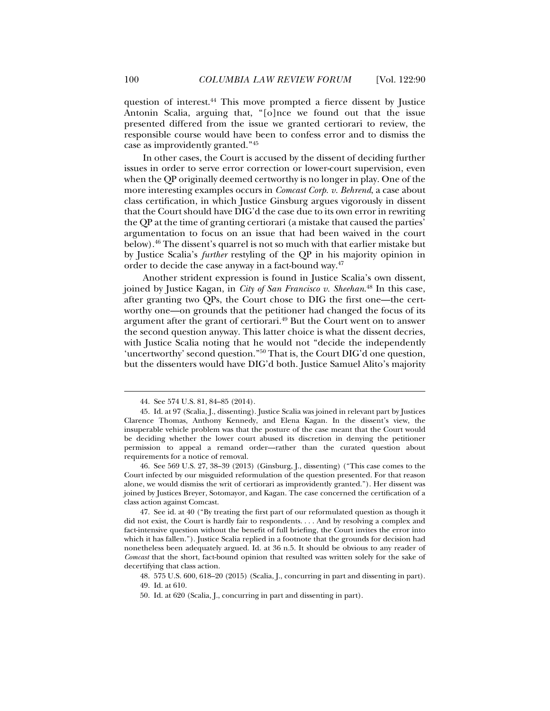question of interest.44 This move prompted a fierce dissent by Justice Antonin Scalia, arguing that, "[o]nce we found out that the issue presented differed from the issue we granted certiorari to review, the responsible course would have been to confess error and to dismiss the case as improvidently granted."45

In other cases, the Court is accused by the dissent of deciding further issues in order to serve error correction or lower-court supervision, even when the QP originally deemed certworthy is no longer in play. One of the more interesting examples occurs in *Comcast Corp. v. Behrend*, a case about class certification, in which Justice Ginsburg argues vigorously in dissent that the Court should have DIG'd the case due to its own error in rewriting the QP at the time of granting certiorari (a mistake that caused the parties' argumentation to focus on an issue that had been waived in the court below).46 The dissent's quarrel is not so much with that earlier mistake but by Justice Scalia's *further* restyling of the QP in his majority opinion in order to decide the case anyway in a fact-bound way.<sup>47</sup>

Another strident expression is found in Justice Scalia's own dissent, joined by Justice Kagan, in *City of San Francisco v. Sheehan*. 48 In this case, after granting two QPs, the Court chose to DIG the first one—the certworthy one—on grounds that the petitioner had changed the focus of its argument after the grant of certiorari.49 But the Court went on to answer the second question anyway. This latter choice is what the dissent decries, with Justice Scalia noting that he would not "decide the independently 'uncertworthy' second question."50 That is, the Court DIG'd one question, but the dissenters would have DIG'd both. Justice Samuel Alito's majority

 <sup>44.</sup> See 574 U.S. 81, 84–85 (2014).

 <sup>45.</sup> Id. at 97 (Scalia, J., dissenting). Justice Scalia was joined in relevant part by Justices Clarence Thomas, Anthony Kennedy, and Elena Kagan. In the dissent's view, the insuperable vehicle problem was that the posture of the case meant that the Court would be deciding whether the lower court abused its discretion in denying the petitioner permission to appeal a remand order—rather than the curated question about requirements for a notice of removal.

 <sup>46.</sup> See 569 U.S. 27, 38–39 (2013) (Ginsburg, J., dissenting) ("This case comes to the Court infected by our misguided reformulation of the question presented. For that reason alone, we would dismiss the writ of certiorari as improvidently granted."). Her dissent was joined by Justices Breyer, Sotomayor, and Kagan. The case concerned the certification of a class action against Comcast.

 <sup>47.</sup> See id. at 40 ("By treating the first part of our reformulated question as though it did not exist, the Court is hardly fair to respondents. . . . And by resolving a complex and fact-intensive question without the benefit of full briefing, the Court invites the error into which it has fallen."). Justice Scalia replied in a footnote that the grounds for decision had nonetheless been adequately argued. Id. at 36 n.5. It should be obvious to any reader of *Comcast* that the short, fact-bound opinion that resulted was written solely for the sake of decertifying that class action.

 <sup>48. 575</sup> U.S. 600, 618–20 (2015) (Scalia, J., concurring in part and dissenting in part).

 <sup>49.</sup> Id. at 610.

 <sup>50.</sup> Id. at 620 (Scalia, J., concurring in part and dissenting in part).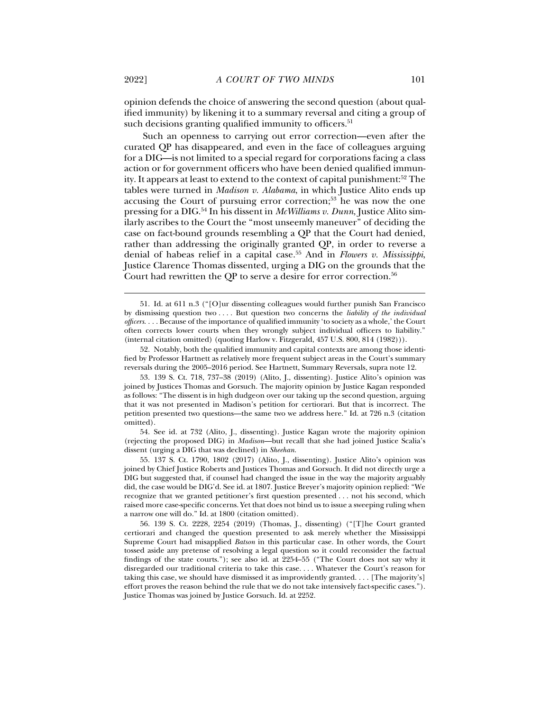opinion defends the choice of answering the second question (about qualified immunity) by likening it to a summary reversal and citing a group of such decisions granting qualified immunity to officers.<sup>51</sup>

Such an openness to carrying out error correction—even after the curated QP has disappeared, and even in the face of colleagues arguing for a DIG—is not limited to a special regard for corporations facing a class action or for government officers who have been denied qualified immunity. It appears at least to extend to the context of capital punishment: $52$  The tables were turned in *Madison v. Alabama*, in which Justice Alito ends up accusing the Court of pursuing error correction; $53$  he was now the one pressing for a DIG.54 In his dissent in *McWilliams v. Dunn*, Justice Alito similarly ascribes to the Court the "most unseemly maneuver" of deciding the case on fact-bound grounds resembling a QP that the Court had denied, rather than addressing the originally granted QP, in order to reverse a denial of habeas relief in a capital case.55 And in *Flowers v. Mississippi*, Justice Clarence Thomas dissented, urging a DIG on the grounds that the Court had rewritten the QP to serve a desire for error correction.<sup>56</sup>

 54. See id. at 732 (Alito, J., dissenting). Justice Kagan wrote the majority opinion (rejecting the proposed DIG) in *Madison*—but recall that she had joined Justice Scalia's dissent (urging a DIG that was declined) in *Sheehan*.

 55. 137 S. Ct. 1790, 1802 (2017) (Alito, J., dissenting). Justice Alito's opinion was joined by Chief Justice Roberts and Justices Thomas and Gorsuch. It did not directly urge a DIG but suggested that, if counsel had changed the issue in the way the majority arguably did, the case would be DIG'd. See id. at 1807. Justice Breyer's majority opinion replied: "We recognize that we granted petitioner's first question presented . . . not his second, which raised more case-specific concerns. Yet that does not bind us to issue a sweeping ruling when a narrow one will do." Id. at 1800 (citation omitted).

 56. 139 S. Ct. 2228, 2254 (2019) (Thomas, J., dissenting) ("[T]he Court granted certiorari and changed the question presented to ask merely whether the Mississippi Supreme Court had misapplied *Batson* in this particular case. In other words, the Court tossed aside any pretense of resolving a legal question so it could reconsider the factual findings of the state courts."); see also id. at 2254–55 ("The Court does not say why it disregarded our traditional criteria to take this case. . . . Whatever the Court's reason for taking this case, we should have dismissed it as improvidently granted. . . . [The majority's] effort proves the reason behind the rule that we do not take intensively fact-specific cases."). Justice Thomas was joined by Justice Gorsuch. Id. at 2252.

 <sup>51.</sup> Id. at 611 n.3 ("[O]ur dissenting colleagues would further punish San Francisco by dismissing question two . . . . But question two concerns the *liability of the individual officers*. . . . Because of the importance of qualified immunity 'to society as a whole,' the Court often corrects lower courts when they wrongly subject individual officers to liability." (internal citation omitted) (quoting Harlow v. Fitzgerald, 457 U.S. 800, 814 (1982))).

 <sup>52.</sup> Notably, both the qualified immunity and capital contexts are among those identified by Professor Hartnett as relatively more frequent subject areas in the Court's summary reversals during the 2005–2016 period. See Hartnett, Summary Reversals, supra note 12.

 <sup>53. 139</sup> S. Ct. 718, 737–38 (2019) (Alito, J., dissenting). Justice Alito's opinion was joined by Justices Thomas and Gorsuch. The majority opinion by Justice Kagan responded as follows: "The dissent is in high dudgeon over our taking up the second question, arguing that it was not presented in Madison's petition for certiorari. But that is incorrect. The petition presented two questions—the same two we address here." Id. at 726 n.3 (citation omitted).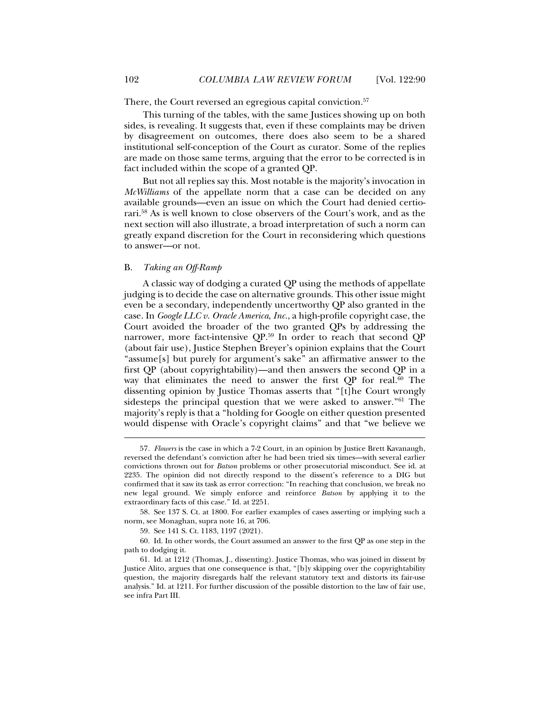There, the Court reversed an egregious capital conviction.<sup>57</sup>

This turning of the tables, with the same Justices showing up on both sides, is revealing. It suggests that, even if these complaints may be driven by disagreement on outcomes, there does also seem to be a shared institutional self-conception of the Court as curator. Some of the replies are made on those same terms, arguing that the error to be corrected is in fact included within the scope of a granted QP.

But not all replies say this. Most notable is the majority's invocation in *McWilliams* of the appellate norm that a case can be decided on any available grounds—even an issue on which the Court had denied certiorari.58 As is well known to close observers of the Court's work, and as the next section will also illustrate, a broad interpretation of such a norm can greatly expand discretion for the Court in reconsidering which questions to answer—or not.

## B. *Taking an Off-Ramp*

A classic way of dodging a curated QP using the methods of appellate judging is to decide the case on alternative grounds. This other issue might even be a secondary, independently uncertworthy QP also granted in the case. In *Google LLC v. Oracle America*, *Inc.*, a high-profile copyright case, the Court avoided the broader of the two granted QPs by addressing the narrower, more fact-intensive QP.59 In order to reach that second QP (about fair use), Justice Stephen Breyer's opinion explains that the Court "assume[s] but purely for argument's sake" an affirmative answer to the first QP (about copyrightability)—and then answers the second QP in a way that eliminates the need to answer the first QP for real.<sup>60</sup> The dissenting opinion by Justice Thomas asserts that "[t]he Court wrongly sidesteps the principal question that we were asked to answer."61 The majority's reply is that a "holding for Google on either question presented would dispense with Oracle's copyright claims" and that "we believe we

<sup>57</sup>*. Flowers* is the case in which a 7-2 Court, in an opinion by Justice Brett Kavanaugh, reversed the defendant's conviction after he had been tried six times—with several earlier convictions thrown out for *Batson* problems or other prosecutorial misconduct. See id. at 2235. The opinion did not directly respond to the dissent's reference to a DIG but confirmed that it saw its task as error correction: "In reaching that conclusion, we break no new legal ground. We simply enforce and reinforce *Batson* by applying it to the extraordinary facts of this case." Id. at 2251.

 <sup>58.</sup> See 137 S. Ct. at 1800. For earlier examples of cases asserting or implying such a norm, see Monaghan, supra note 16, at 706.

 <sup>59.</sup> See 141 S. Ct. 1183, 1197 (2021).

 <sup>60.</sup> Id. In other words, the Court assumed an answer to the first QP as one step in the path to dodging it.

 <sup>61.</sup> Id. at 1212 (Thomas, J., dissenting). Justice Thomas, who was joined in dissent by Justice Alito, argues that one consequence is that, "[b]y skipping over the copyrightability question, the majority disregards half the relevant statutory text and distorts its fair-use analysis." Id. at 1211. For further discussion of the possible distortion to the law of fair use, see infra Part III.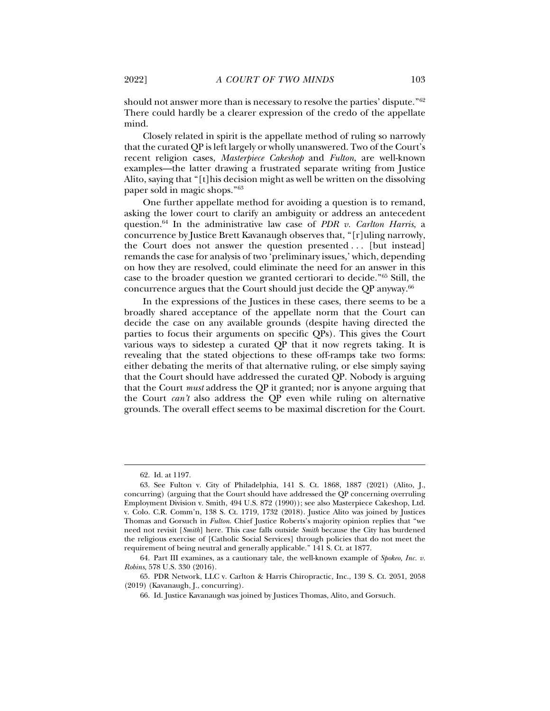should not answer more than is necessary to resolve the parties' dispute."62 There could hardly be a clearer expression of the credo of the appellate mind.

Closely related in spirit is the appellate method of ruling so narrowly that the curated QP is left largely or wholly unanswered. Two of the Court's recent religion cases, *Masterpiece Cakeshop* and *Fulton*, are well-known examples—the latter drawing a frustrated separate writing from Justice Alito, saying that "[t]his decision might as well be written on the dissolving paper sold in magic shops."63

One further appellate method for avoiding a question is to remand, asking the lower court to clarify an ambiguity or address an antecedent question.64 In the administrative law case of *PDR v. Carlton Harris*, a concurrence by Justice Brett Kavanaugh observes that, "[r]uling narrowly, the Court does not answer the question presented . . . [but instead] remands the case for analysis of two 'preliminary issues,' which, depending on how they are resolved, could eliminate the need for an answer in this case to the broader question we granted certiorari to decide."65 Still, the concurrence argues that the Court should just decide the QP anyway.66

In the expressions of the Justices in these cases, there seems to be a broadly shared acceptance of the appellate norm that the Court can decide the case on any available grounds (despite having directed the parties to focus their arguments on specific QPs). This gives the Court various ways to sidestep a curated QP that it now regrets taking. It is revealing that the stated objections to these off-ramps take two forms: either debating the merits of that alternative ruling, or else simply saying that the Court should have addressed the curated QP. Nobody is arguing that the Court *must* address the QP it granted; nor is anyone arguing that the Court *can't* also address the QP even while ruling on alternative grounds. The overall effect seems to be maximal discretion for the Court.

 <sup>62.</sup> Id. at 1197.

 <sup>63.</sup> See Fulton v. City of Philadelphia, 141 S. Ct. 1868, 1887 (2021) (Alito, J., concurring) (arguing that the Court should have addressed the QP concerning overruling Employment Division v. Smith, 494 U.S. 872 (1990)); see also Masterpiece Cakeshop, Ltd. v. Colo. C.R. Comm'n, 138 S. Ct. 1719, 1732 (2018). Justice Alito was joined by Justices Thomas and Gorsuch in *Fulton*. Chief Justice Roberts's majority opinion replies that "we need not revisit [*Smith*] here. This case falls outside *Smith* because the City has burdened the religious exercise of [Catholic Social Services] through policies that do not meet the requirement of being neutral and generally applicable." 141 S. Ct. at 1877.

 <sup>64.</sup> Part III examines, as a cautionary tale, the well-known example of *Spokeo, Inc. v. Robins*, 578 U.S. 330 (2016).

 <sup>65.</sup> PDR Network, LLC v. Carlton & Harris Chiropractic, Inc., 139 S. Ct. 2051, 2058 (2019) (Kavanaugh, J., concurring).

 <sup>66.</sup> Id. Justice Kavanaugh was joined by Justices Thomas, Alito, and Gorsuch.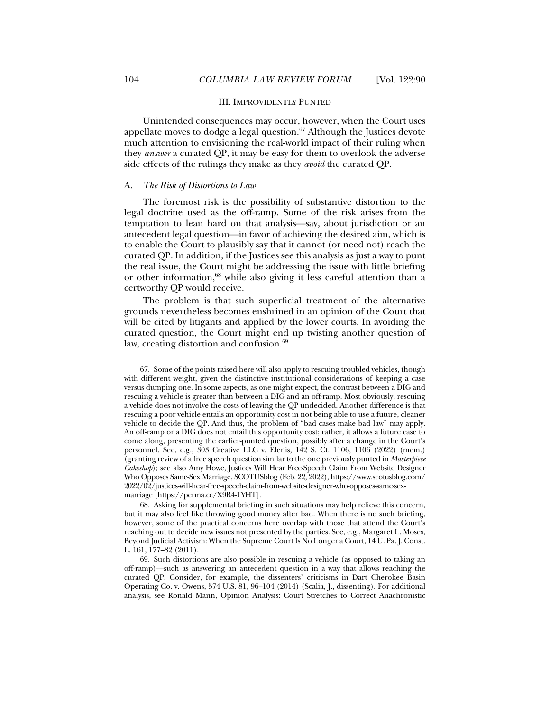#### III. IMPROVIDENTLY PUNTED

Unintended consequences may occur, however, when the Court uses appellate moves to dodge a legal question. $67$  Although the Justices devote much attention to envisioning the real-world impact of their ruling when they *answer* a curated QP, it may be easy for them to overlook the adverse side effects of the rulings they make as they *avoid* the curated QP.

## A. *The Risk of Distortions to Law*

The foremost risk is the possibility of substantive distortion to the legal doctrine used as the off-ramp. Some of the risk arises from the temptation to lean hard on that analysis—say, about jurisdiction or an antecedent legal question—in favor of achieving the desired aim, which is to enable the Court to plausibly say that it cannot (or need not) reach the curated QP. In addition, if the Justices see this analysis as just a way to punt the real issue, the Court might be addressing the issue with little briefing or other information,68 while also giving it less careful attention than a certworthy QP would receive.

The problem is that such superficial treatment of the alternative grounds nevertheless becomes enshrined in an opinion of the Court that will be cited by litigants and applied by the lower courts. In avoiding the curated question, the Court might end up twisting another question of law, creating distortion and confusion.<sup>69</sup>

 <sup>67.</sup> Some of the points raised here will also apply to rescuing troubled vehicles, though with different weight, given the distinctive institutional considerations of keeping a case versus dumping one. In some aspects, as one might expect, the contrast between a DIG and rescuing a vehicle is greater than between a DIG and an off-ramp. Most obviously, rescuing a vehicle does not involve the costs of leaving the QP undecided. Another difference is that rescuing a poor vehicle entails an opportunity cost in not being able to use a future, cleaner vehicle to decide the QP. And thus, the problem of "bad cases make bad law" may apply. An off-ramp or a DIG does not entail this opportunity cost; rather, it allows a future case to come along, presenting the earlier-punted question, possibly after a change in the Court's personnel. See, e.g., 303 Creative LLC v. Elenis, 142 S. Ct. 1106, 1106 (2022) (mem.) (granting review of a free speech question similar to the one previously punted in *Masterpiece Cakeshop*); see also Amy Howe, Justices Will Hear Free-Speech Claim From Website Designer Who Opposes Same-Sex Marriage, SCOTUSblog (Feb. 22, 2022), https://www.scotusblog.com/ 2022/02/justices-will-hear-free-speech-claim-from-website-designer-who-opposes-same-sexmarriage [https://perma.cc/X9R4-TYHT].

 <sup>68.</sup> Asking for supplemental briefing in such situations may help relieve this concern, but it may also feel like throwing good money after bad. When there is no such briefing, however, some of the practical concerns here overlap with those that attend the Court's reaching out to decide new issues not presented by the parties. See, e.g., Margaret L. Moses, Beyond Judicial Activism: When the Supreme Court Is No Longer a Court, 14 U. Pa. J. Const. L. 161, 177–82 (2011).

 <sup>69.</sup> Such distortions are also possible in rescuing a vehicle (as opposed to taking an off-ramp)—such as answering an antecedent question in a way that allows reaching the curated QP. Consider, for example, the dissenters' criticisms in Dart Cherokee Basin Operating Co. v. Owens, 574 U.S. 81, 96–104 (2014) (Scalia, J., dissenting). For additional analysis, see Ronald Mann, Opinion Analysis: Court Stretches to Correct Anachronistic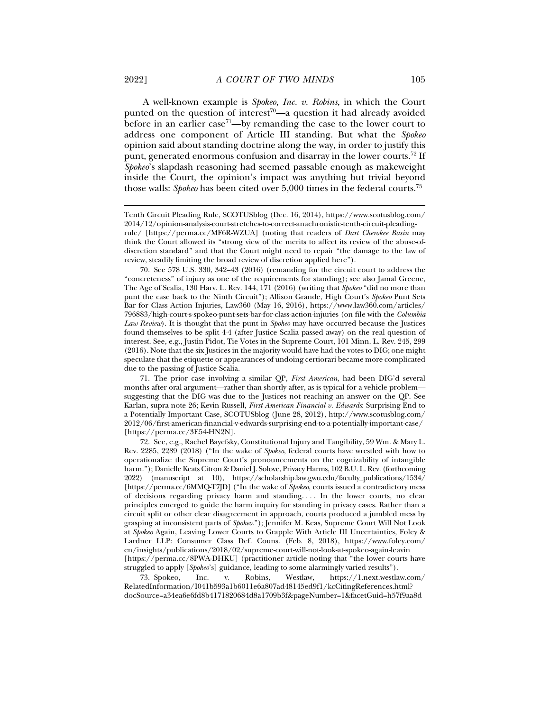A well-known example is *Spokeo, Inc. v. Robins*, in which the Court punted on the question of interest<sup>70</sup>—a question it had already avoided before in an earlier case<sup>71</sup>—by remanding the case to the lower court to address one component of Article III standing. But what the *Spokeo* opinion said about standing doctrine along the way, in order to justify this punt, generated enormous confusion and disarray in the lower courts.<sup>72</sup> If *Spokeo*'s slapdash reasoning had seemed passable enough as makeweight inside the Court, the opinion's impact was anything but trivial beyond those walls: *Spokeo* has been cited over 5,000 times in the federal courts.73

 71. The prior case involving a similar QP, *First American*, had been DIG'd several months after oral argument—rather than shortly after, as is typical for a vehicle problem suggesting that the DIG was due to the Justices not reaching an answer on the QP. See Karlan, supra note 26; Kevin Russell, *First American Financial v. Edwards*: Surprising End to a Potentially Important Case, SCOTUSblog (June 28, 2012), http://www.scotusblog.com/ 2012/06/first-american-financial-v-edwards-surprising-end-to-a-potentially-important-case/ [https://perma.cc/3E54-HN2N].

 72. See, e.g., Rachel Bayefsky, Constitutional Injury and Tangibility, 59 Wm. & Mary L. Rev. 2285, 2289 (2018) ("In the wake of *Spokeo*, federal courts have wrestled with how to operationalize the Supreme Court's pronouncements on the cognizability of intangible harm."); Danielle Keats Citron & Daniel J. Solove, Privacy Harms, 102 B.U. L. Rev. (forthcoming 2022) (manuscript at 10), https://scholarship.law.gwu.edu/faculty\_publications/1534/ [https://perma.cc/6MMQ-T7JD] ("In the wake of *Spokeo*, courts issued a contradictory mess of decisions regarding privacy harm and standing. . . . In the lower courts, no clear principles emerged to guide the harm inquiry for standing in privacy cases. Rather than a circuit split or other clear disagreement in approach, courts produced a jumbled mess by grasping at inconsistent parts of *Spokeo*."); Jennifer M. Keas, Supreme Court Will Not Look at *Spokeo* Again, Leaving Lower Courts to Grapple With Article III Uncertainties, Foley & Lardner LLP: Consumer Class Def. Couns. (Feb. 8, 2018), https://www.foley.com/ en/insights/publications/2018/02/supreme-court-will-not-look-at-spokeo-again-leavin [https://perma.cc/8PWA-DHKU] (practitioner article noting that "the lower courts have struggled to apply [*Spokeo*'s] guidance, leading to some alarmingly varied results").

 73. Spokeo, Inc. v. Robins, Westlaw, https://1.next.westlaw.com/ RelatedInformation/I041b593a1b6011e6a807ad48145ed9f1/kcCitingReferences.html? docSource=a34ea6e6fd8b4171820684d8a1709b3f&pageNumber=1&facetGuid=h57f9aa8d

Tenth Circuit Pleading Rule, SCOTUSblog (Dec. 16, 2014), https://www.scotusblog.com/ 2014/12/opinion-analysis-court-stretches-to-correct-anachronistic-tenth-circuit-pleadingrule/ [https://perma.cc/MF6R-WZUA] (noting that readers of *Dart Cherokee Basin* may think the Court allowed its "strong view of the merits to affect its review of the abuse-ofdiscretion standard" and that the Court might need to repair "the damage to the law of review, steadily limiting the broad review of discretion applied here").

 <sup>70.</sup> See 578 U.S. 330, 342–43 (2016) (remanding for the circuit court to address the "concreteness" of injury as one of the requirements for standing); see also Jamal Greene, The Age of Scalia, 130 Harv. L. Rev. 144, 171 (2016) (writing that *Spokeo* "did no more than punt the case back to the Ninth Circuit"); Allison Grande, High Court's *Spokeo* Punt Sets Bar for Class Action Injuries, Law360 (May 16, 2016), https://www.law360.com/articles/ 796883/high-court-s-spokeo-punt-sets-bar-for-class-action-injuries (on file with the *Columbia Law Review*). It is thought that the punt in *Spokeo* may have occurred because the Justices found themselves to be split 4-4 (after Justice Scalia passed away) on the real question of interest. See, e.g., Justin Pidot, Tie Votes in the Supreme Court, 101 Minn. L. Rev. 245, 299 (2016). Note that the six Justices in the majority would have had the votes to DIG; one might speculate that the etiquette or appearances of undoing certiorari became more complicated due to the passing of Justice Scalia.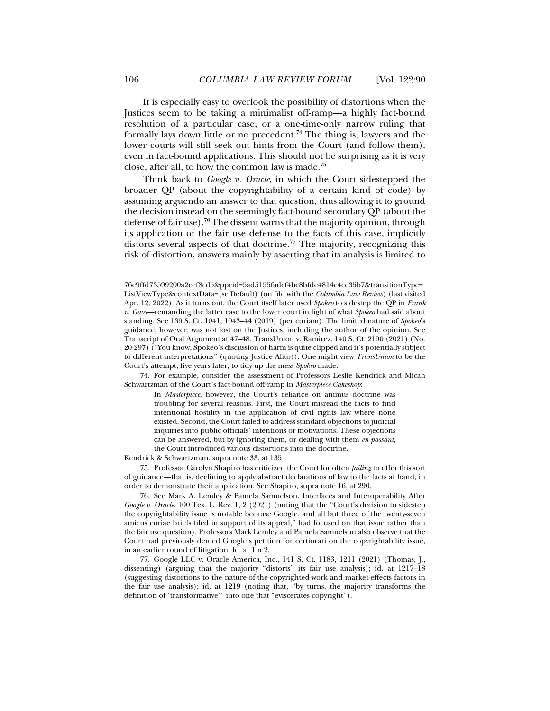It is especially easy to overlook the possibility of distortions when the Justices seem to be taking a minimalist off-ramp—a highly fact-bound resolution of a particular case, or a one-time-only narrow ruling that formally lays down little or no precedent.<sup>74</sup> The thing is, lawyers and the lower courts will still seek out hints from the Court (and follow them), even in fact-bound applications. This should not be surprising as it is very close, after all, to how the common law is made.75

Think back to *Google v. Oracle*, in which the Court sidestepped the broader QP (about the copyrightability of a certain kind of code) by assuming arguendo an answer to that question, thus allowing it to ground the decision instead on the seemingly fact-bound secondary QP (about the defense of fair use).<sup>76</sup> The dissent warns that the majority opinion, through its application of the fair use defense to the facts of this case, implicitly distorts several aspects of that doctrine.<sup>77</sup> The majority, recognizing this risk of distortion, answers mainly by asserting that its analysis is limited to

 74. For example, consider the assessment of Professors Leslie Kendrick and Micah Schwartzman of the Court's fact-bound off-ramp in *Masterpiece Cakeshop*:

In *Masterpiece*, however, the Court's reliance on animus doctrine was troubling for several reasons. First, the Court misread the facts to find intentional hostility in the application of civil rights law where none existed. Second, the Court failed to address standard objections to judicial inquiries into public officials' intentions or motivations. These objections can be answered, but by ignoring them, or dealing with them *en passant*, the Court introduced various distortions into the doctrine.

Kendrick & Schwartzman, supra note 33, at 135.

 75. Professor Carolyn Shapiro has criticized the Court for often *failing* to offer this sort of guidance—that is, declining to apply abstract declarations of law to the facts at hand, in order to demonstrate their application. See Shapiro, supra note 16, at 290.

 76. See Mark A. Lemley & Pamela Samuelson, Interfaces and Interoperability After *Google v. Oracle*, 100 Tex. L. Rev. 1, 2 (2021) (noting that the "Court's decision to sidestep the copyrightability issue is notable because Google, and all but three of the twenty-seven amicus curiae briefs filed in support of its appeal," had focused on that issue rather than the fair use question). Professors Mark Lemley and Pamela Samuelson also observe that the Court had previously denied Google's petition for certiorari on the copyrightability issue, in an earlier round of litigation. Id. at 1 n.2.

 77. Google LLC v. Oracle America, Inc., 141 S. Ct. 1183, 1211 (2021) (Thomas, J., dissenting) (arguing that the majority "distorts" its fair use analysis); id. at 1217–18 (suggesting distortions to the nature-of-the-copyrighted-work and market-effects factors in the fair use analysis); id. at 1219 (noting that, "by turns, the majority transforms the definition of 'transformative'" into one that "eviscerates copyright").

<sup>76</sup>e9ffd73599200a2cef8cd5&ppcid=5ad5155fadcf4bc8bfde4814c4ce35b7&transitionType= ListViewType&contextData=(sc.Default) (on file with the *Columbia Law Review*) (last visited Apr. 12, 2022). As it turns out, the Court itself later used *Spokeo* to sidestep the QP in *Frank v. Gaos*—remanding the latter case to the lower court in light of what *Spokeo* had said about standing. See 139 S. Ct. 1041, 1043–44 (2019) (per curiam). The limited nature of *Spokeo*'s guidance, however, was not lost on the Justices, including the author of the opinion. See Transcript of Oral Argument at 47–48, TransUnion v. Ramirez, 140 S. Ct. 2190 (2021) (No. 20-297) ("You know, Spokeo's discussion of harm is quite clipped and it's potentially subject to different interpretations" (quoting Justice Alito)). One might view *TransUnion* to be the Court's attempt, five years later, to tidy up the mess *Spokeo* made.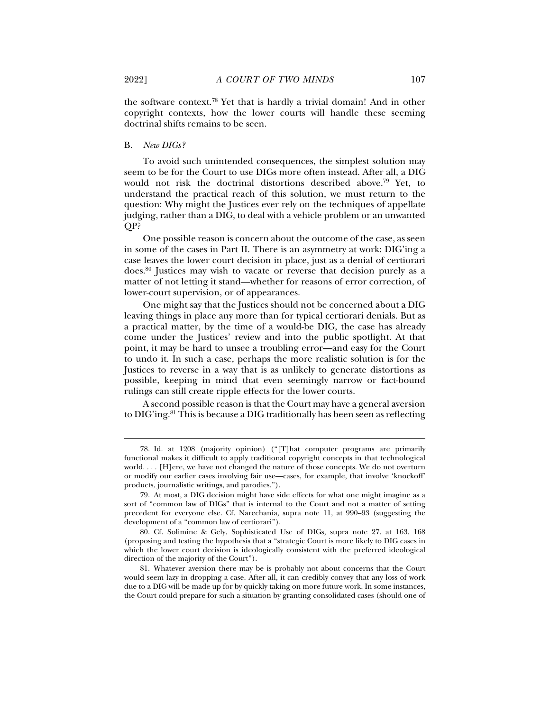the software context.78 Yet that is hardly a trivial domain! And in other copyright contexts, how the lower courts will handle these seeming doctrinal shifts remains to be seen.

# B. *New DIGs?*

To avoid such unintended consequences, the simplest solution may seem to be for the Court to use DIGs more often instead. After all, a DIG would not risk the doctrinal distortions described above.79 Yet, to understand the practical reach of this solution, we must return to the question: Why might the Justices ever rely on the techniques of appellate judging, rather than a DIG, to deal with a vehicle problem or an unwanted QP?

One possible reason is concern about the outcome of the case, as seen in some of the cases in Part II. There is an asymmetry at work: DIG'ing a case leaves the lower court decision in place, just as a denial of certiorari does.80 Justices may wish to vacate or reverse that decision purely as a matter of not letting it stand—whether for reasons of error correction, of lower-court supervision, or of appearances.

One might say that the Justices should not be concerned about a DIG leaving things in place any more than for typical certiorari denials. But as a practical matter, by the time of a would-be DIG, the case has already come under the Justices' review and into the public spotlight. At that point, it may be hard to unsee a troubling error—and easy for the Court to undo it. In such a case, perhaps the more realistic solution is for the Justices to reverse in a way that is as unlikely to generate distortions as possible, keeping in mind that even seemingly narrow or fact-bound rulings can still create ripple effects for the lower courts.

A second possible reason is that the Court may have a general aversion to DIG'ing.<sup>81</sup> This is because a DIG traditionally has been seen as reflecting

 <sup>78.</sup> Id. at 1208 (majority opinion) ("[T]hat computer programs are primarily functional makes it difficult to apply traditional copyright concepts in that technological world. . . . [H]ere, we have not changed the nature of those concepts. We do not overturn or modify our earlier cases involving fair use—cases, for example, that involve 'knockoff' products, journalistic writings, and parodies.").

 <sup>79.</sup> At most, a DIG decision might have side effects for what one might imagine as a sort of "common law of DIGs" that is internal to the Court and not a matter of setting precedent for everyone else. Cf. Narechania, supra note 11, at 990-93 (suggesting the development of a "common law of certiorari").

 <sup>80.</sup> Cf. Solimine & Gely, Sophisticated Use of DIGs, supra note 27, at 163, 168 (proposing and testing the hypothesis that a "strategic Court is more likely to DIG cases in which the lower court decision is ideologically consistent with the preferred ideological direction of the majority of the Court").

 <sup>81.</sup> Whatever aversion there may be is probably not about concerns that the Court would seem lazy in dropping a case. After all, it can credibly convey that any loss of work due to a DIG will be made up for by quickly taking on more future work. In some instances, the Court could prepare for such a situation by granting consolidated cases (should one of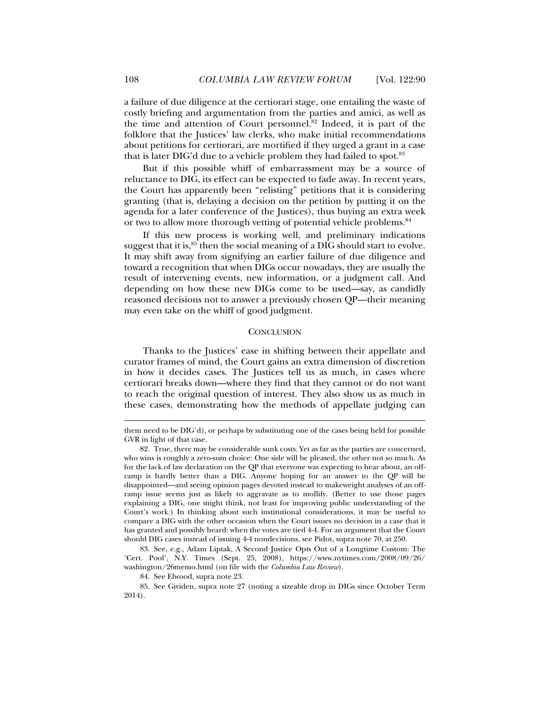a failure of due diligence at the certiorari stage, one entailing the waste of costly briefing and argumentation from the parties and amici, as well as the time and attention of Court personnel.82 Indeed, it is part of the folklore that the Justices' law clerks, who make initial recommendations about petitions for certiorari, are mortified if they urged a grant in a case that is later DIG'd due to a vehicle problem they had failed to spot.<sup>83</sup>

But if this possible whiff of embarrassment may be a source of reluctance to DIG, its effect can be expected to fade away. In recent years, the Court has apparently been "relisting" petitions that it is considering granting (that is, delaying a decision on the petition by putting it on the agenda for a later conference of the Justices), thus buying an extra week or two to allow more thorough vetting of potential vehicle problems.<sup>84</sup>

If this new process is working well, and preliminary indications suggest that it is, $85$  then the social meaning of a DIG should start to evolve. It may shift away from signifying an earlier failure of due diligence and toward a recognition that when DIGs occur nowadays, they are usually the result of intervening events, new information, or a judgment call. And depending on how these new DIGs come to be used—say, as candidly reasoned decisions not to answer a previously chosen QP—their meaning may even take on the whiff of good judgment.

## **CONCLUSION**

Thanks to the Justices' ease in shifting between their appellate and curator frames of mind, the Court gains an extra dimension of discretion in how it decides cases. The Justices tell us as much, in cases where certiorari breaks down—where they find that they cannot or do not want to reach the original question of interest. They also show us as much in these cases, demonstrating how the methods of appellate judging can

them need to be DIG'd), or perhaps by substituting one of the cases being held for possible GVR in light of that case.

 <sup>82.</sup> True, there may be considerable sunk costs. Yet as far as the parties are concerned, who wins is roughly a zero-sum choice: One side will be pleased, the other not so much. As for the lack of law declaration on the QP that everyone was expecting to hear about, an offramp is hardly better than a DIG. Anyone hoping for an answer to the QP will be disappointed—and seeing opinion pages devoted instead to makeweight analyses of an offramp issue seems just as likely to aggravate as to mollify. (Better to use those pages explaining a DIG, one might think, not least for improving public understanding of the Court's work.) In thinking about such institutional considerations, it may be useful to compare a DIG with the other occasion when the Court issues no decision in a case that it has granted and possibly heard: when the votes are tied 4-4. For an argument that the Court should DIG cases instead of issuing 4-4 nondecisions, see Pidot, supra note 70, at 250.

 <sup>83.</sup> See, e.g., Adam Liptak, A Second Justice Opts Out of a Longtime Custom: The 'Cert. Pool', N.Y. Times (Sept. 25, 2008), https://www.nytimes.com/2008/09/26/ washington/26memo.html (on file with the *Columbia Law Review*).

 <sup>84.</sup> See Elwood, supra note 23.

 <sup>85.</sup> See Gividen, supra note 27 (noting a sizeable drop in DIGs since October Term 2014).